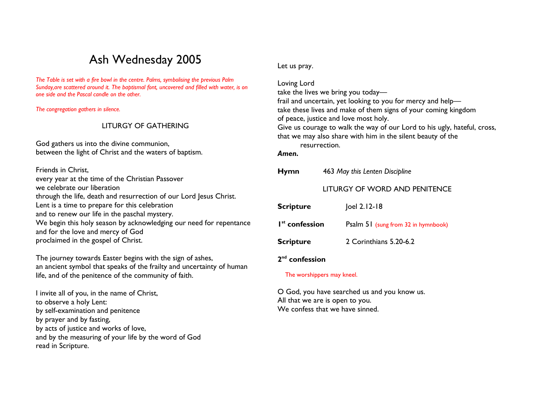# Ash Wednesday 2005

The Table is set with a fire bowl in the centre. Palms, symbolising the previous Palm Sunday,are scattered around it. The baptismal font, uncovered and filled with water, is on one side and the Pascal candle on the other.

The congregation gathers in silence.

## LITURGY OF GATHERING

God gathers us into the divine communion, between the light of Christ and the waters of baptism.

Friends in Christ, every year at the time of the Christian Passover we celebrate our liberation through the life, death and resurrection of our Lord Jesus Christ. Lent is a time to prepare for this celebration and to renew our life in the paschal mystery. We begin this holy season by acknowledging our need for repentance and for the love and mercy of God proclaimed in the gospel of Christ.

The journey towards Easter begins with the sign of ashes, an ancient symbol that speaks of the frailty and uncertainty of human life, and of the penitence of the community of faith.

I invite all of you, in the name of Christ, to observe a holy Lent: by self-examination and penitence by prayer and by fasting, by acts of justice and works of love, and by the measuring of your life by the word of God read in Scripture.

Let us pray.

Loving Lord take the lives we bring you today frail and uncertain, yet looking to you for mercy and help take these lives and make of them signs of your coming kingdom of peace, justice and love most holy. Give us courage to walk the way of our Lord to his ugly, hateful, cross, that we may also share with him in the silent beauty of the resurrection. Amen. Hymn 463 May this Lenten Discipline

### LITURGY OF WORD AND PENITENCE

| <b>Scripture</b>           | Joel 2.12-18                        |
|----------------------------|-------------------------------------|
| I <sup>st</sup> confession | Psalm 51 (sung from 32 in hymnbook) |
| <b>Scripture</b>           | 2 Corinthians 5.20-6.2              |
|                            |                                     |

# 2<sup>nd</sup> confession

### The worshippers may kneel.

O God, you have searched us and you know us. All that we are is open to you. We confess that we have sinned.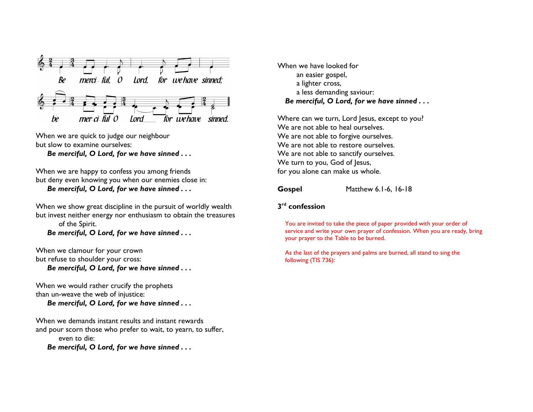

When we are quick to judge our neighbour but slow to examine ourselves:

Be merciful, O Lord, for we have sinned . . .

When we are happy to confess you among friends but deny even knowing you when our enemies close in: Be merciful, O Lord, for we have sinned . . .

When we show great discipline in the pursuit of worldly wealth but invest neither energy nor enthusiasm to obtain the treasures of the Spirit. Be merciful, O Lord, for we have sinned . . .

When we clamour for your crown but refuse to shoulder your cross: Be merciful, O Lord, for we have sinned . . .

When we would rather crucify the prophets than un-weave the web of injustice: Be merciful, O Lord, for we have sinned . . .

When we demands instant results and instant rewards and pour scorn those who prefer to wait, to yearn, to suffer, even to die: Be merciful, O Lord, for we have sinned . . .

When we have looked for an easier gospel, a lighter cross, a less demanding saviour: Be merciful, O Lord, for we have sinned . . .

Where can we turn, Lord Jesus, except to you? We are not able to heal ourselves. We are not able to forgive ourselves. We are not able to restore ourselves. We are not able to sanctify ourselves. We turn to you, God of Jesus, for you alone can make us whole.

Gospel Matthew 6.1-6, 16-18

## $3<sup>rd</sup>$  confession

You are invited to take the piece of paper provided with your order of service and write your own prayer of confession. When you are ready, bring your prayer to the Table to be burned.

As the last of the prayers and palms are burned, all stand to sing the following (TIS 736):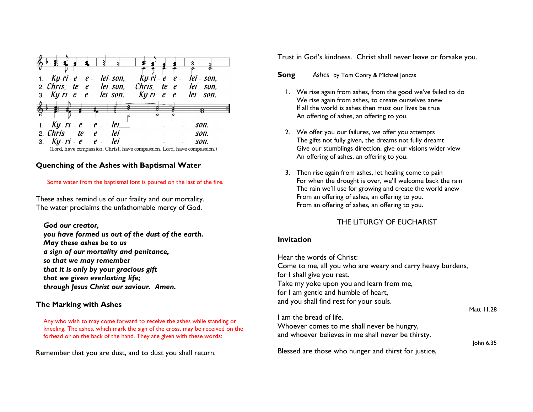

## Quenching of the Ashes with Baptismal Water

### Some water from the baptismal font is poured on the last of the fire.

These ashes remind us of our frailty and our mortality. The water proclaims the unfathomable mercy of God.

### God our creator,

 you have formed us out of the dust of the earth. May these ashes be to us a sign of our mortality and penitance, so that we may remember that it is only by your gracious gift that we given everlasting life; through Jesus Christ our saviour. Amen.

## The Marking with Ashes

Any who wish to may come forward to receive the ashes while standing or kneeling. The ashes, which mark the sign of the cross, may be received on the forhead or on the back of the hand. They are given with these words:

Remember that you are dust, and to dust you shall return.

Trust in God's kindness. Christ shall never leave or forsake you.

#### **Song** Ashes by Tom Conry & Michael Joncas

- 1. We rise again from ashes, from the good we've failed to do We rise again from ashes, to create ourselves anew If all the world is ashes then must our lives be true An offering of ashes, an offering to you.
- 2. We offer you our failures, we offer you attempts The gifts not fully given, the dreams not fully dreamt Give our stumblings direction, give our visions wider view An offering of ashes, an offering to you.
- 3. Then rise again from ashes, let healing come to pain For when the drought is over, we'll welcome back the rain The rain we'll use for growing and create the world anew From an offering of ashes, an offering to you. From an offering of ashes, an offering to you.

# THE LITURGY OF EUCHARIST

## Invitation

Hear the words of Christ: Come to me, all you who are weary and carry heavy burdens, for I shall give you rest. Take my yoke upon you and learn from me, for I am gentle and humble of heart, and you shall find rest for your souls. Matt 11.28

I am the bread of life. Whoever comes to me shall never be hungry, and whoever believes in me shall never be thirsty. John 6.35

Blessed are those who hunger and thirst for justice,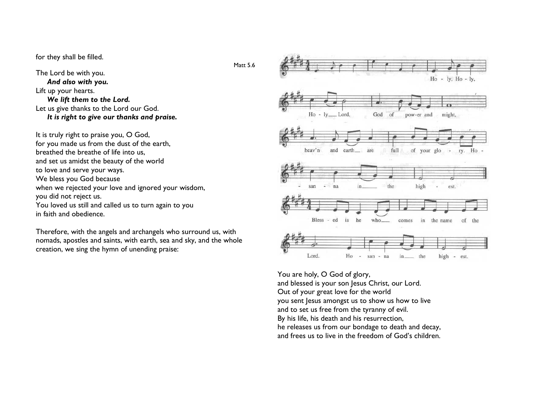for they shall be filled.

The Lord be with you. And also with you. Lift up your hearts. We lift them to the Lord. Let us give thanks to the Lord our God. It is right to give our thanks and praise.

It is truly right to praise you, O God, for you made us from the dust of the earth, breathed the breathe of life into us, and set us amidst the beauty of the world to love and serve your ways. We bless you God because when we rejected your love and ignored your wisdom, you did not reject us. You loved us still and called us to turn again to you in faith and obedience.

Therefore, with the angels and archangels who surround us, with nomads, apostles and saints, with earth, sea and sky, and the whole creation, we sing the hymn of unending praise:



You are holy, O God of glory, and blessed is your son Jesus Christ, our Lord. Out of your great love for the world you sent Jesus amongst us to show us how to live and to set us free from the tyranny of evil. By his life, his death and his resurrection, he releases us from our bondage to death and decay, and frees us to live in the freedom of God's children.

Matt<sub>56</sub>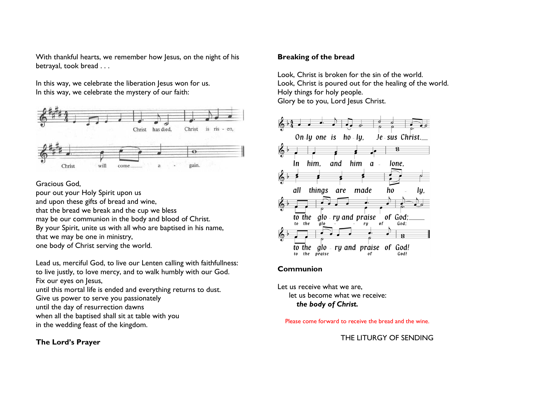With thankful hearts, we remember how Jesus, on the night of his betrayal, took bread . . .

In this way, we celebrate the liberation Jesus won for us. In this way, we celebrate the mystery of our faith:



### Gracious God,

pour out your Holy Spirit upon us and upon these gifts of bread and wine, that the bread we break and the cup we bless may be our communion in the body and blood of Christ. By your Spirit, unite us with all who are baptised in his name, that we may be one in ministry, one body of Christ serving the world.

Lead us, merciful God, to live our Lenten calling with faithfullness: to live justly, to love mercy, and to walk humbly with our God. Fix our eyes on Jesus,

until this mortal life is ended and everything returns to dust.

Give us power to serve you passionately

until the day of resurrection dawns

 when all the baptised shall sit at table with you in the wedding feast of the kingdom.

## The Lord's Prayer

### Breaking of the bread

Look, Christ is broken for the sin of the world. Look, Christ is poured out for the healing of the world. Holy things for holy people. Glory be to you, Lord Jesus Christ.



### Communion

Let us receive what we are, let us become what we receive: the body of Christ.

Please come forward to receive the bread and the wine.

## THE LITURGY OF SENDING